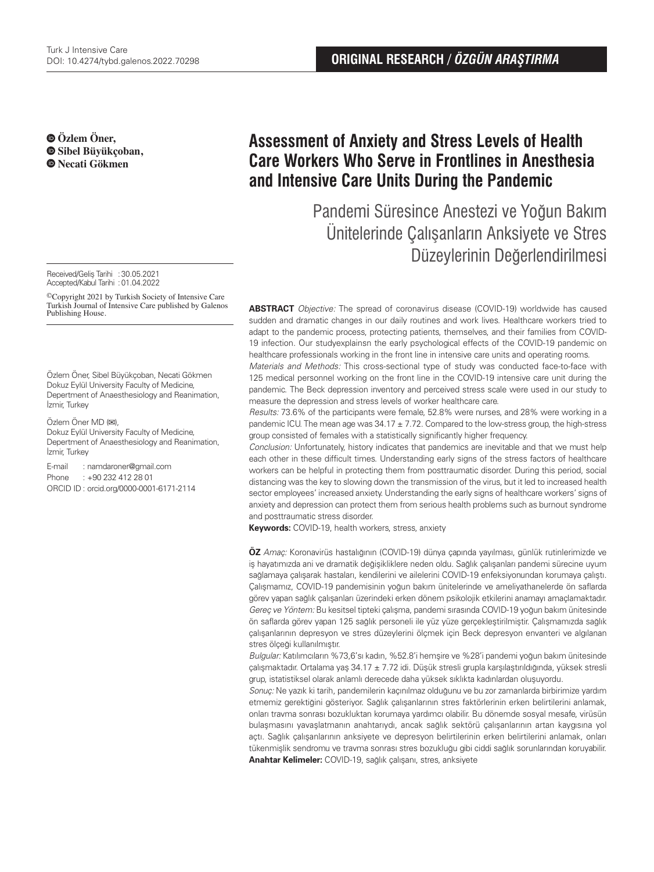**Özlem Öner, Sibel Büyükçoban, Necati Gökmen**

Received/Gelis Tarihi : 30.05.2021 Accepted/Kabul Tarihi : 01.04.2022

©Copyright 2021 by Turkish Society of Intensive Care Turkish Journal of Intensive Care published by Galenos Publishing House.

Özlem Öner, Sibel Büyükçoban, Necati Gökmen Dokuz Eylül University Faculty of Medicine, Depertment of Anaesthesiology and Reanimation, İzmir, Turkey

Özlem Öner MD (**✉**),

Dokuz Eylül University Faculty of Medicine, Depertment of Anaesthesiology and Reanimation, İzmir, Turkey

E-mail : namdaroner@gmail.com Phone : +90 232 412 28 01 ORCID ID : orcid.org/0000-0001-6171-2114

# **Assessment of Anxiety and Stress Levels of Health Care Workers Who Serve in Frontlines in Anesthesia and Intensive Care Units During the Pandemic**

Pandemi Süresince Anestezi ve Yoğun Bakım Ünitelerinde Çalışanların Anksiyete ve Stres Düzeylerinin Değerlendirilmesi

**ABSTRACT** Objective: The spread of coronavirus disease (COVID-19) worldwide has caused sudden and dramatic changes in our daily routines and work lives. Healthcare workers tried to adapt to the pandemic process, protecting patients, themselves, and their families from COVID-19 infection. Our studyexplainsn the early psychological effects of the COVID-19 pandemic on healthcare professionals working in the front line in intensive care units and operating rooms.

Materials and Methods: This cross-sectional type of study was conducted face-to-face with 125 medical personnel working on the front line in the COVID-19 intensive care unit during the pandemic. The Beck depression inventory and perceived stress scale were used in our study to measure the depression and stress levels of worker healthcare care.

Results: 73.6% of the participants were female, 52.8% were nurses, and 28% were working in a pandemic ICU. The mean age was  $34.17 \pm 7.72$ . Compared to the low-stress group, the high-stress group consisted of females with a statistically significantly higher frequency.

Conclusion: Unfortunately, history indicates that pandemics are inevitable and that we must help each other in these difficult times. Understanding early signs of the stress factors of healthcare workers can be helpful in protecting them from posttraumatic disorder. During this period, social distancing was the key to slowing down the transmission of the virus, but it led to increased health sector employees' increased anxiety. Understanding the early signs of healthcare workers' signs of anxiety and depression can protect them from serious health problems such as burnout syndrome and posttraumatic stress disorder.

**Keywords:** COVID-19, health workers, stress, anxiety

**ÖZ** Amaç: Koronavirüs hastalığının (COVID-19) dünya çapında yayılması, günlük rutinlerimizde ve iş hayatımızda ani ve dramatik değişikliklere neden oldu. Sağlık çalışanları pandemi sürecine uyum sağlamaya çalışarak hastaları, kendilerini ve ailelerini COVID-19 enfeksiyonundan korumaya çalıştı. Çalışmamız, COVID-19 pandemisinin yoğun bakım ünitelerinde ve ameliyathanelerde ön saflarda görev yapan sağlık çalışanları üzerindeki erken dönem psikolojik etkilerini anamayı amaçlamaktadır. Gereç ve Yöntem: Bu kesitsel tipteki çalışma, pandemi sırasında COVID-19 yoğun bakım ünitesinde ön saflarda görev yapan 125 sağlık personeli ile yüz yüze gerçekleştirilmiştir. Çalışmamızda sağlık çalışanlarının depresyon ve stres düzeylerini ölçmek için Beck depresyon envanteri ve algılanan stres ölçeği kullanılmıştır.

Bulgular: Katılımcıların %73,6'sı kadın, %52.8'i hemşire ve %28'i pandemi yoğun bakım ünitesinde çalışmaktadır. Ortalama yaş 34.17 ± 7.72 idi. Düşük stresli grupla karşılaştırıldığında, yüksek stresli grup, istatistiksel olarak anlamlı derecede daha yüksek sıklıkta kadınlardan oluşuyordu.

Sonuç: Ne yazık ki tarih, pandemilerin kaçınılmaz olduğunu ve bu zor zamanlarda birbirimize yardım etmemiz gerektiğini gösteriyor. Sağlık çalışanlarının stres faktörlerinin erken belirtilerini anlamak, onları travma sonrası bozukluktan korumaya yardımcı olabilir. Bu dönemde sosyal mesafe, virüsün bulaşmasını yavaşlatmanın anahtarıydı, ancak sağlık sektörü çalışanlarının artan kaygısına yol açtı. Sağlık çalışanlarının anksiyete ve depresyon belirtilerinin erken belirtilerini anlamak, onları tükenmişlik sendromu ve travma sonrası stres bozukluğu gibi ciddi sağlık sorunlarından koruyabilir. **Anahtar Kelimeler:** COVID-19, sağlık çalışanı, stres, anksiyete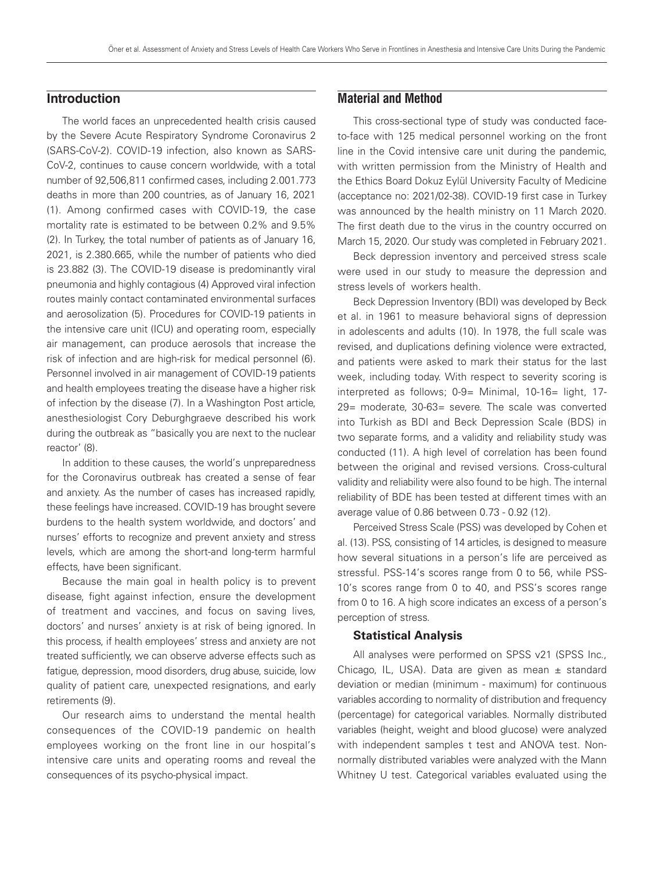# **Introduction**

The world faces an unprecedented health crisis caused by the Severe Acute Respiratory Syndrome Coronavirus 2 (SARS-CoV-2). COVID-19 infection, also known as SARS-CoV-2, continues to cause concern worldwide, with a total number of 92,506,811 confirmed cases, including 2.001.773 deaths in more than 200 countries, as of January 16, 2021 (1). Among confirmed cases with COVID-19, the case mortality rate is estimated to be between 0.2% and 9.5% (2). In Turkey, the total number of patients as of January 16, 2021, is 2.380.665, while the number of patients who died is 23.882 (3). The COVID-19 disease is predominantly viral pneumonia and highly contagious (4) Approved viral infection routes mainly contact contaminated environmental surfaces and aerosolization (5). Procedures for COVID-19 patients in the intensive care unit (ICU) and operating room, especially air management, can produce aerosols that increase the risk of infection and are high-risk for medical personnel (6). Personnel involved in air management of COVID-19 patients and health employees treating the disease have a higher risk of infection by the disease (7). In a Washington Post article, anesthesiologist Cory Deburghgraeve described his work during the outbreak as "basically you are next to the nuclear reactor' (8).

In addition to these causes, the world's unpreparedness for the Coronavirus outbreak has created a sense of fear and anxiety. As the number of cases has increased rapidly, these feelings have increased. COVID-19 has brought severe burdens to the health system worldwide, and doctors' and nurses' efforts to recognize and prevent anxiety and stress levels, which are among the short-and long-term harmful effects, have been significant.

Because the main goal in health policy is to prevent disease, fight against infection, ensure the development of treatment and vaccines, and focus on saving lives, doctors' and nurses' anxiety is at risk of being ignored. In this process, if health employees' stress and anxiety are not treated sufficiently, we can observe adverse effects such as fatigue, depression, mood disorders, drug abuse, suicide, low quality of patient care, unexpected resignations, and early retirements (9).

Our research aims to understand the mental health consequences of the COVID-19 pandemic on health employees working on the front line in our hospital's intensive care units and operating rooms and reveal the consequences of its psycho-physical impact.

# **Material and Method**

This cross-sectional type of study was conducted faceto-face with 125 medical personnel working on the front line in the Covid intensive care unit during the pandemic, with written permission from the Ministry of Health and the Ethics Board Dokuz Eylül University Faculty of Medicine (acceptance no: 2021/02-38). COVID-19 first case in Turkey was announced by the health ministry on 11 March 2020. The first death due to the virus in the country occurred on March 15, 2020. Our study was completed in February 2021.

Beck depression inventory and perceived stress scale were used in our study to measure the depression and stress levels of workers health.

Beck Depression Inventory (BDI) was developed by Beck et al. in 1961 to measure behavioral signs of depression in adolescents and adults (10). In 1978, the full scale was revised, and duplications defining violence were extracted, and patients were asked to mark their status for the last week, including today. With respect to severity scoring is interpreted as follows; 0-9= Minimal, 10-16= light, 17-29= moderate, 30-63= severe. The scale was converted into Turkish as BDI and Beck Depression Scale (BDS) in two separate forms, and a validity and reliability study was conducted (11). A high level of correlation has been found between the original and revised versions. Cross-cultural validity and reliability were also found to be high. The internal reliability of BDE has been tested at different times with an average value of 0.86 between 0.73 - 0.92 (12).

Perceived Stress Scale (PSS) was developed by Cohen et al. (13). PSS, consisting of 14 articles, is designed to measure how several situations in a person's life are perceived as stressful. PSS-14's scores range from 0 to 56, while PSS-10's scores range from 0 to 40, and PSS's scores range from 0 to 16. A high score indicates an excess of a person's perception of stress.

#### **Statistical Analysis**

All analyses were performed on SPSS v21 (SPSS Inc., Chicago, IL, USA). Data are given as mean  $\pm$  standard deviation or median (minimum - maximum) for continuous variables according to normality of distribution and frequency (percentage) for categorical variables. Normally distributed variables (height, weight and blood glucose) were analyzed with independent samples t test and ANOVA test. Nonnormally distributed variables were analyzed with the Mann Whitney U test. Categorical variables evaluated using the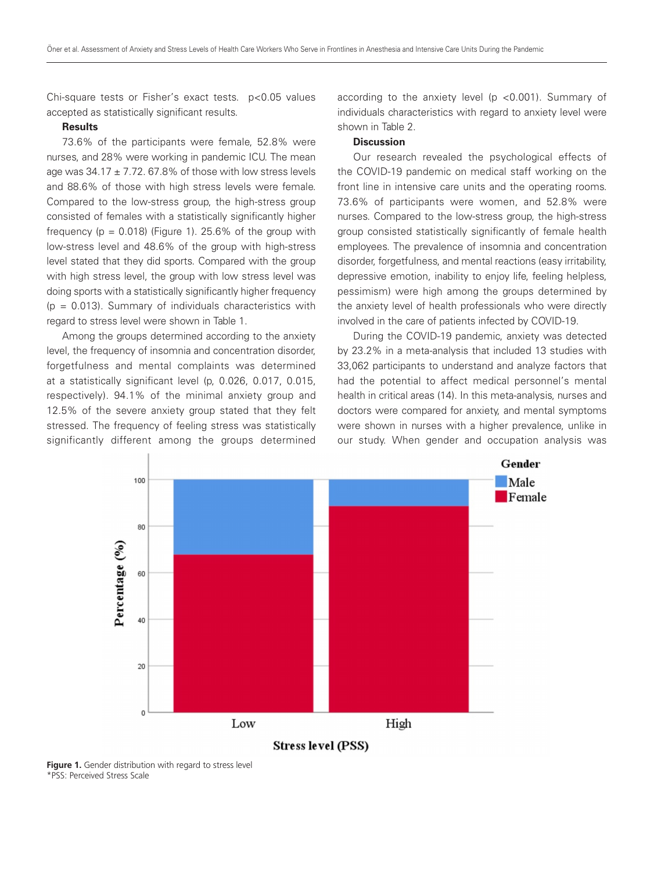Chi-square tests or Fisher's exact tests. p<0.05 values accepted as statistically significant results.

#### **Results**

73.6% of the participants were female, 52.8% were nurses, and 28% were working in pandemic ICU. The mean age was  $34.17 \pm 7.72$ . 67.8% of those with low stress levels and 88.6% of those with high stress levels were female. Compared to the low-stress group, the high-stress group consisted of females with a statistically significantly higher frequency ( $p = 0.018$ ) (Figure 1). 25.6% of the group with low-stress level and 48.6% of the group with high-stress level stated that they did sports. Compared with the group with high stress level, the group with low stress level was doing sports with a statistically significantly higher frequency  $(p = 0.013)$ . Summary of individuals characteristics with regard to stress level were shown in Table 1.

Among the groups determined according to the anxiety level, the frequency of insomnia and concentration disorder, forgetfulness and mental complaints was determined at a statistically significant level (p, 0.026, 0.017, 0.015, respectively). 94.1% of the minimal anxiety group and 12.5% of the severe anxiety group stated that they felt stressed. The frequency of feeling stress was statistically significantly different among the groups determined

according to the anxiety level (p <0.001). Summary of individuals characteristics with regard to anxiety level were shown in Table 2.

## **Discussion**

Our research revealed the psychological effects of the COVID-19 pandemic on medical staff working on the front line in intensive care units and the operating rooms. 73.6% of participants were women, and 52.8% were nurses. Compared to the low-stress group, the high-stress group consisted statistically significantly of female health employees. The prevalence of insomnia and concentration disorder, forgetfulness, and mental reactions (easy irritability, depressive emotion, inability to enjoy life, feeling helpless, pessimism) were high among the groups determined by the anxiety level of health professionals who were directly involved in the care of patients infected by COVID-19.

During the COVID-19 pandemic, anxiety was detected by 23.2% in a meta-analysis that included 13 studies with 33,062 participants to understand and analyze factors that had the potential to affect medical personnel's mental health in critical areas (14). In this meta-analysis, nurses and doctors were compared for anxiety, and mental symptoms were shown in nurses with a higher prevalence, unlike in our study. When gender and occupation analysis was



**Figure 1.** Gender distribution with regard to stress level \*PSS: Perceived Stress Scale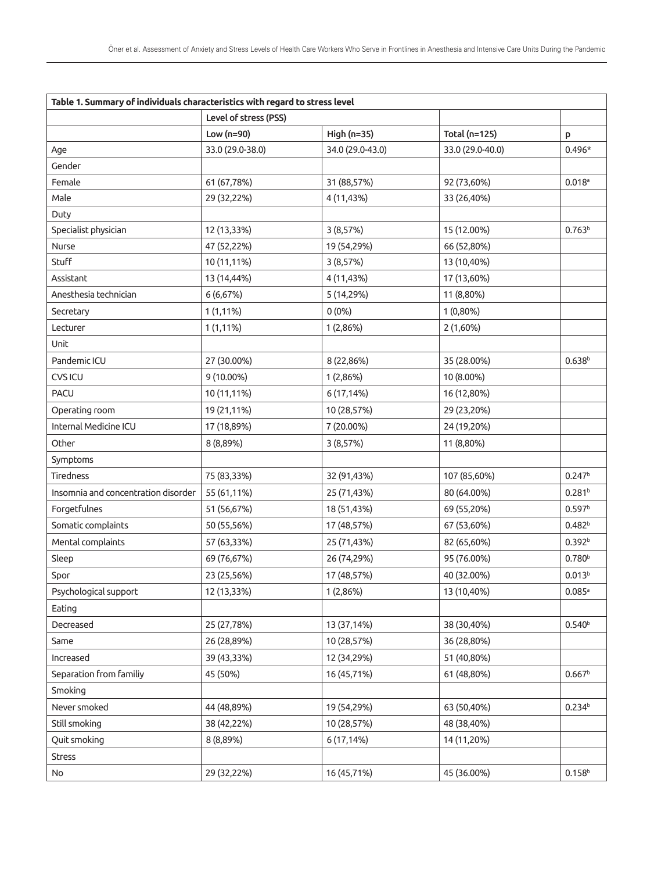| Table 1. Summary of individuals characteristics with regard to stress level |                       |                  |                  |                      |  |
|-----------------------------------------------------------------------------|-----------------------|------------------|------------------|----------------------|--|
|                                                                             | Level of stress (PSS) |                  |                  |                      |  |
|                                                                             | Low $(n=90)$          | High (n=35)      | Total (n=125)    | P                    |  |
| Age                                                                         | 33.0 (29.0-38.0)      | 34.0 (29.0-43.0) | 33.0 (29.0-40.0) | $0.496*$             |  |
| Gender                                                                      |                       |                  |                  |                      |  |
| Female                                                                      | 61 (67,78%)           | 31 (88,57%)      | 92 (73,60%)      | $0.018$ <sup>a</sup> |  |
| Male                                                                        | 29 (32,22%)           | 4 (11,43%)       | 33 (26,40%)      |                      |  |
| Duty                                                                        |                       |                  |                  |                      |  |
| Specialist physician                                                        | 12 (13,33%)           | 3 (8,57%)        | 15 (12.00%)      | 0.763 <sup>b</sup>   |  |
| Nurse                                                                       | 47 (52,22%)           | 19 (54,29%)      | 66 (52,80%)      |                      |  |
| Stuff                                                                       | 10 (11,11%)           | 3 (8,57%)        | 13 (10,40%)      |                      |  |
| Assistant                                                                   | 13 (14,44%)           | 4 (11,43%)       | 17 (13,60%)      |                      |  |
| Anesthesia technician                                                       | 6 (6,67%)             | 5 (14,29%)       | 11 (8,80%)       |                      |  |
| Secretary                                                                   | $1(1, 11\%)$          | $0(0\%)$         | 1 (0,80%)        |                      |  |
| Lecturer                                                                    | $1(1, 11\%)$          | 1(2,86%)         | $2(1,60\%)$      |                      |  |
| Unit                                                                        |                       |                  |                  |                      |  |
| Pandemic ICU                                                                | 27 (30.00%)           | 8 (22,86%)       | 35 (28.00%)      | 0.638 <sup>b</sup>   |  |
| <b>CVSICU</b>                                                               | 9 (10.00%)            | 1(2,86%)         | 10 (8.00%)       |                      |  |
| <b>PACU</b>                                                                 | 10 (11,11%)           | 6 (17,14%)       | 16 (12,80%)      |                      |  |
| Operating room                                                              | 19 (21,11%)           | 10 (28,57%)      | 29 (23,20%)      |                      |  |
| Internal Medicine ICU                                                       | 17 (18,89%)           | 7 (20.00%)       | 24 (19,20%)      |                      |  |
| Other                                                                       | 8 (8,89%)             | 3 (8,57%)        | 11 (8,80%)       |                      |  |
| Symptoms                                                                    |                       |                  |                  |                      |  |
| Tiredness                                                                   | 75 (83,33%)           | 32 (91,43%)      | 107 (85,60%)     | 0.247 <sup>b</sup>   |  |
| Insomnia and concentration disorder                                         | 55 (61,11%)           | 25 (71,43%)      | 80 (64.00%)      | 0.281 <sup>b</sup>   |  |
| Forgetfulnes                                                                | 51 (56,67%)           | 18 (51,43%)      | 69 (55,20%)      | 0.597 <sup>b</sup>   |  |
| Somatic complaints                                                          | 50 (55,56%)           | 17 (48,57%)      | 67 (53,60%)      | 0.482 <sup>b</sup>   |  |
| Mental complaints                                                           | 57 (63,33%)           | 25 (71,43%)      | 82 (65,60%)      | 0.392 <sup>b</sup>   |  |
| Sleep                                                                       | 69 (76,67%)           | 26 (74,29%)      | 95 (76.00%)      | 0.780 <sup>b</sup>   |  |
| Spor                                                                        | 23 (25,56%)           | 17 (48,57%)      | 40 (32.00%)      | 0.013 <sup>b</sup>   |  |
| Psychological support                                                       | 12 (13,33%)           | 1(2,86%)         | 13 (10,40%)      | $0.085$ <sup>a</sup> |  |
| Eating                                                                      |                       |                  |                  |                      |  |
| Decreased                                                                   | 25 (27,78%)           | 13 (37,14%)      | 38 (30,40%)      | 0.540 <sup>b</sup>   |  |
| Same                                                                        | 26 (28,89%)           | 10 (28,57%)      | 36 (28,80%)      |                      |  |
| Increased                                                                   | 39 (43,33%)           | 12 (34,29%)      | 51 (40,80%)      |                      |  |
| Separation from familiy                                                     | 45 (50%)              | 16 (45,71%)      | 61 (48,80%)      | $0.667^b$            |  |
| Smoking                                                                     |                       |                  |                  |                      |  |
| Never smoked                                                                | 44 (48,89%)           | 19 (54,29%)      | 63 (50,40%)      | 0.234 <sup>b</sup>   |  |
| Still smoking                                                               | 38 (42,22%)           | 10 (28,57%)      | 48 (38,40%)      |                      |  |
| Quit smoking                                                                | 8 (8,89%)             | 6 (17,14%)       | 14 (11,20%)      |                      |  |
| Stress                                                                      |                       |                  |                  |                      |  |
| No                                                                          | 29 (32,22%)           | 16 (45,71%)      | 45 (36.00%)      | $0.158^{b}$          |  |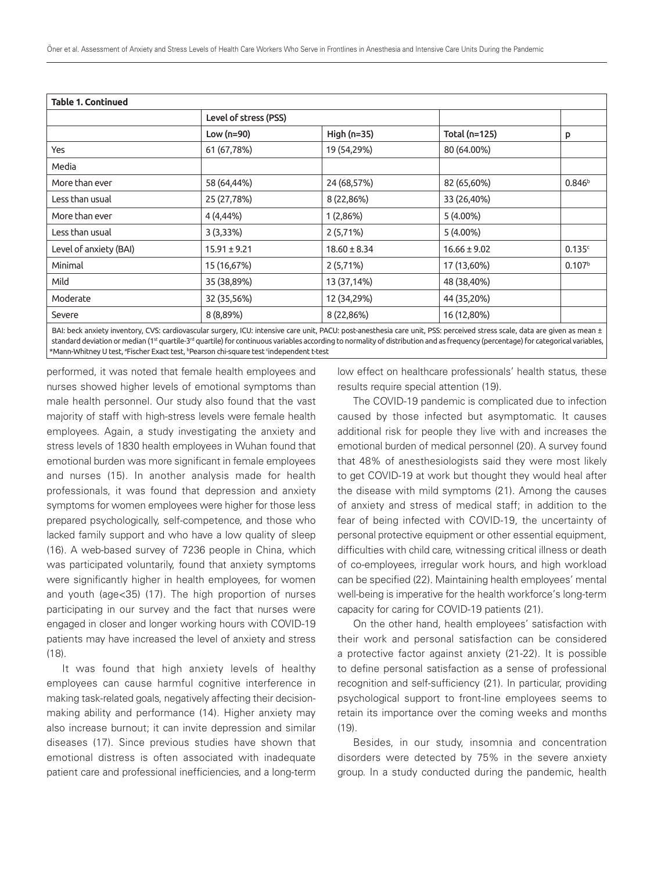| <b>Table 1. Continued</b> |                       |                  |                  |                    |
|---------------------------|-----------------------|------------------|------------------|--------------------|
|                           | Level of stress (PSS) |                  |                  |                    |
|                           | Low (n=90)            | High (n=35)      | Total (n=125)    | p                  |
| Yes                       | 61 (67,78%)           | 19 (54,29%)      | 80 (64.00%)      |                    |
| Media                     |                       |                  |                  |                    |
| More than ever            | 58 (64,44%)           | 24 (68,57%)      | 82 (65,60%)      | 0.846 <sup>b</sup> |
| Less than usual           | 25 (27,78%)           | 8 (22,86%)       | 33 (26,40%)      |                    |
| More than ever            | 4 (4,44%)             | 1(2,86%)         | $5(4.00\%)$      |                    |
| Less than usual           | 3(3,33%)              | 2(5,71%)         | 5 (4.00%)        |                    |
| Level of anxiety (BAI)    | $15.91 \pm 9.21$      | $18.60 \pm 8.34$ | $16.66 \pm 9.02$ | 0.135c             |
| Minimal                   | 15 (16,67%)           | 2(5,71%)         | 17 (13,60%)      | 0.107 <sup>b</sup> |
| Mild                      | 35 (38,89%)           | 13 (37,14%)      | 48 (38,40%)      |                    |
| Moderate                  | 32 (35,56%)           | 12 (34,29%)      | 44 (35,20%)      |                    |
| Severe                    | 8 (8,89%)             | 8 (22,86%)       | 16 (12,80%)      |                    |
|                           |                       |                  |                  |                    |

BAI: beck anxiety inventory, CVS: cardiovascular surgery, ICU: intensive care unit, PACU: post-anesthesia care unit, PSS: perceived stress scale, data are given as mean ± standard deviation or median (1st quartile-3rd quartile) for continuous variables according to normality of distribution and as frequency (percentage) for categorical variables, \*Mann-Whitney U test, ªFischer Exact test, <sup>b</sup>Pearson chi-square test <sup>c</sup>independent t-test

performed, it was noted that female health employees and nurses showed higher levels of emotional symptoms than male health personnel. Our study also found that the vast majority of staff with high-stress levels were female health employees. Again, a study investigating the anxiety and stress levels of 1830 health employees in Wuhan found that emotional burden was more significant in female employees and nurses (15). In another analysis made for health professionals, it was found that depression and anxiety symptoms for women employees were higher for those less prepared psychologically, self-competence, and those who lacked family support and who have a low quality of sleep (16). A web-based survey of 7236 people in China, which was participated voluntarily, found that anxiety symptoms were significantly higher in health employees, for women and youth (age<35) (17). The high proportion of nurses participating in our survey and the fact that nurses were engaged in closer and longer working hours with COVID-19 patients may have increased the level of anxiety and stress (18).

It was found that high anxiety levels of healthy employees can cause harmful cognitive interference in making task-related goals, negatively affecting their decisionmaking ability and performance (14). Higher anxiety may also increase burnout; it can invite depression and similar diseases (17). Since previous studies have shown that emotional distress is often associated with inadequate patient care and professional inefficiencies, and a long-term low effect on healthcare professionals' health status, these results require special attention (19).

The COVID-19 pandemic is complicated due to infection caused by those infected but asymptomatic. It causes additional risk for people they live with and increases the emotional burden of medical personnel (20). A survey found that 48% of anesthesiologists said they were most likely to get COVID-19 at work but thought they would heal after the disease with mild symptoms (21). Among the causes of anxiety and stress of medical staff; in addition to the fear of being infected with COVID-19, the uncertainty of personal protective equipment or other essential equipment, difficulties with child care, witnessing critical illness or death of co-employees, irregular work hours, and high workload can be specified (22). Maintaining health employees' mental well-being is imperative for the health workforce's long-term capacity for caring for COVID-19 patients (21).

On the other hand, health employees' satisfaction with their work and personal satisfaction can be considered a protective factor against anxiety (21-22). It is possible to define personal satisfaction as a sense of professional recognition and self-sufficiency (21). In particular, providing psychological support to front-line employees seems to retain its importance over the coming weeks and months (19).

Besides, in our study, insomnia and concentration disorders were detected by 75% in the severe anxiety group. In a study conducted during the pandemic, health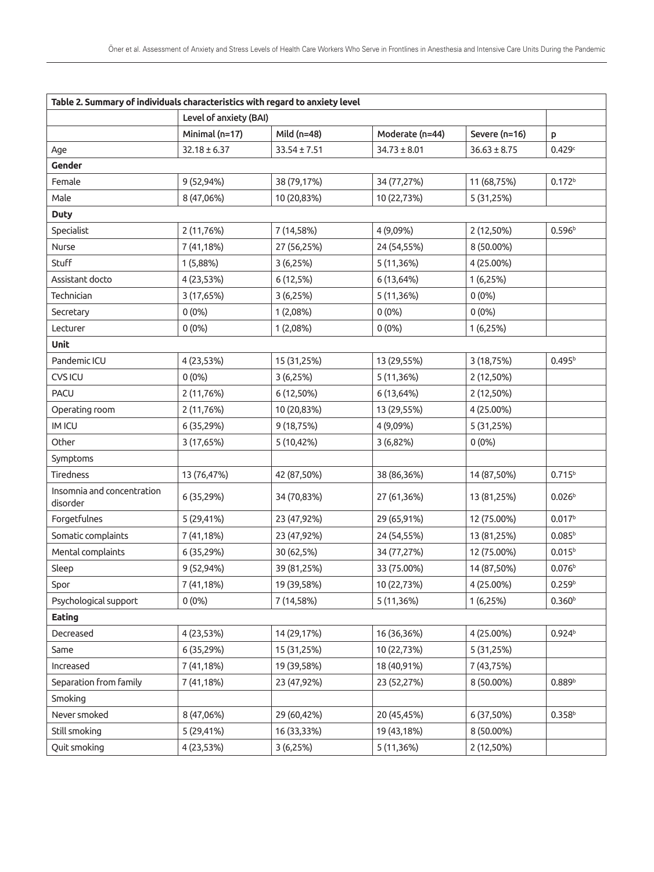| Table 2. Summary of individuals characteristics with regard to anxiety level |                        |                  |                  |                  |                    |
|------------------------------------------------------------------------------|------------------------|------------------|------------------|------------------|--------------------|
|                                                                              | Level of anxiety (BAI) |                  |                  |                  |                    |
|                                                                              | Minimal (n=17)         | Mild (n=48)      | Moderate (n=44)  | Severe (n=16)    | P                  |
| Age                                                                          | $32.18 \pm 6.37$       | $33.54 \pm 7.51$ | $34.73 \pm 8.01$ | $36.63 \pm 8.75$ | 0.429c             |
| Gender                                                                       |                        |                  |                  |                  |                    |
| Female                                                                       | 9 (52,94%)             | 38 (79,17%)      | 34 (77,27%)      | 11 (68,75%)      | 0.172 <sup>b</sup> |
| Male                                                                         | 8 (47,06%)             | 10 (20,83%)      | 10 (22,73%)      | 5 (31,25%)       |                    |
| <b>Duty</b>                                                                  |                        |                  |                  |                  |                    |
| Specialist                                                                   | 2 (11,76%)             | 7 (14,58%)       | 4 (9,09%)        | 2 (12,50%)       | 0.596 <sup>b</sup> |
| Nurse                                                                        | 7 (41,18%)             | 27 (56,25%)      | 24 (54,55%)      | 8 (50.00%)       |                    |
| Stuff                                                                        | 1 (5,88%)              | 3(6,25%)         | 5 (11,36%)       | 4 (25.00%)       |                    |
| Assistant docto                                                              | 4 (23,53%)             | 6 (12,5%)        | 6 (13,64%)       | 1(6,25%)         |                    |
| Technician                                                                   | 3 (17,65%)             | 3(6,25%)         | 5 (11,36%)       | $0(0\%)$         |                    |
| Secretary                                                                    | $0(0\%)$               | 1 (2,08%)        | $0(0\%)$         | $0(0\%)$         |                    |
| Lecturer                                                                     | $0(0\%)$               | 1 (2,08%)        | $0(0\%)$         | 1(6,25%)         |                    |
| Unit                                                                         |                        |                  |                  |                  |                    |
| Pandemic ICU                                                                 | 4 (23,53%)             | 15 (31,25%)      | 13 (29,55%)      | 3 (18,75%)       | 0.495 <sup>b</sup> |
| CVS ICU                                                                      | $0(0\%)$               | 3(6,25%)         | 5 (11,36%)       | 2 (12,50%)       |                    |
| <b>PACU</b>                                                                  | 2 (11,76%)             | 6 (12,50%)       | 6 (13,64%)       | 2 (12,50%)       |                    |
| Operating room                                                               | 2 (11,76%)             | 10 (20,83%)      | 13 (29,55%)      | 4 (25.00%)       |                    |
| <b>IMICU</b>                                                                 | 6 (35,29%)             | 9 (18,75%)       | 4 (9,09%)        | 5 (31,25%)       |                    |
| Other                                                                        | 3 (17,65%)             | 5 (10,42%)       | 3 (6,82%)        | $0(0\%)$         |                    |
| Symptoms                                                                     |                        |                  |                  |                  |                    |
| Tiredness                                                                    | 13 (76,47%)            | 42 (87,50%)      | 38 (86,36%)      | 14 (87,50%)      | 0.715 <sup>b</sup> |
| Insomnia and concentration<br>disorder                                       | 6 (35,29%)             | 34 (70,83%)      | 27 (61,36%)      | 13 (81,25%)      | 0.026 <sup>b</sup> |
| Forgetfulnes                                                                 | 5 (29,41%)             | 23 (47,92%)      | 29 (65,91%)      | 12 (75.00%)      | $0.017^{b}$        |
| Somatic complaints                                                           | 7 (41,18%)             | 23 (47,92%)      | 24 (54,55%)      | 13 (81,25%)      | 0.085 <sup>b</sup> |
| Mental complaints                                                            | 6 (35,29%)             | 30 (62,5%)       | 34 (77,27%)      | 12 (75.00%)      | $0.015^{b}$        |
| Sleep                                                                        | 9 (52,94%)             | 39 (81,25%)      | 33 (75.00%)      | 14 (87,50%)      | 0.076 <sup>b</sup> |
| Spor                                                                         | 7 (41,18%)             | 19 (39,58%)      | 10 (22,73%)      | 4 (25.00%)       | 0.259 <sup>b</sup> |
| Psychological support                                                        | $0(0\%)$               | 7 (14,58%)       | 5 (11,36%)       | 1(6,25%)         | 0.360 <sup>b</sup> |
| Eating                                                                       |                        |                  |                  |                  |                    |
| Decreased                                                                    | 4 (23,53%)             | 14 (29,17%)      | 16 (36,36%)      | 4 (25.00%)       | 0.924 <sup>b</sup> |
| Same                                                                         | 6 (35,29%)             | 15 (31,25%)      | 10 (22,73%)      | 5 (31,25%)       |                    |
| Increased                                                                    | 7 (41,18%)             | 19 (39,58%)      | 18 (40,91%)      | 7 (43,75%)       |                    |
| Separation from family                                                       | 7 (41,18%)             | 23 (47,92%)      | 23 (52,27%)      | 8 (50.00%)       | 0.889 <sup>b</sup> |
| Smoking                                                                      |                        |                  |                  |                  |                    |
| Never smoked                                                                 | 8 (47,06%)             | 29 (60,42%)      | 20 (45,45%)      | 6 (37,50%)       | 0.358 <sup>b</sup> |
| Still smoking                                                                | 5 (29,41%)             | 16 (33,33%)      | 19 (43,18%)      | 8 (50.00%)       |                    |
| Quit smoking                                                                 | 4 (23,53%)             | 3(6,25%)         | 5 (11,36%)       | 2 (12,50%)       |                    |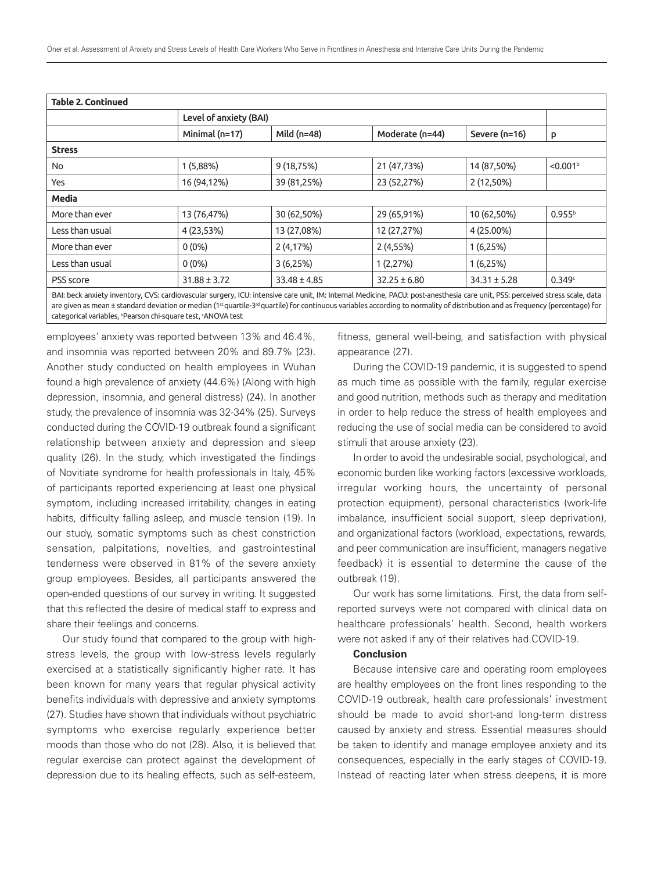| <b>Table 2. Continued</b> |                                                                                                                                                                               |                        |                  |                  |                      |
|---------------------------|-------------------------------------------------------------------------------------------------------------------------------------------------------------------------------|------------------------|------------------|------------------|----------------------|
|                           |                                                                                                                                                                               | Level of anxiety (BAI) |                  |                  |                      |
|                           | Minimal (n=17)                                                                                                                                                                | Mild $(n=48)$          | Moderate (n=44)  | Severe (n=16)    | P                    |
| <b>Stress</b>             |                                                                                                                                                                               |                        |                  |                  |                      |
| No                        | 1(5,88%)                                                                                                                                                                      | 9(18, 75%)             | 21 (47,73%)      | 14 (87,50%)      | < 0.001 <sup>b</sup> |
| Yes                       | 16 (94,12%)                                                                                                                                                                   | 39 (81,25%)            | 23 (52,27%)      | 2 (12,50%)       |                      |
| <b>Media</b>              |                                                                                                                                                                               |                        |                  |                  |                      |
| More than ever            | 13 (76,47%)                                                                                                                                                                   | 30 (62,50%)            | 29 (65,91%)      | 10 (62,50%)      | $0.955^{b}$          |
| Less than usual           | 4 (23,53%)                                                                                                                                                                    | 13 (27,08%)            | 12 (27,27%)      | 4 (25.00%)       |                      |
| More than ever            | $0(0\%)$                                                                                                                                                                      | 2 (4,17%)              | 2(4,55%)         | 1(6,25%)         |                      |
| Less than usual           | $0(0\%)$                                                                                                                                                                      | 3(6,25%)               | 1(2,27%)         | 1(6,25%)         |                      |
| <b>PSS</b> score          | $31.88 \pm 3.72$                                                                                                                                                              | $33.48 \pm 4.85$       | $32.25 \pm 6.80$ | $34.31 \pm 5.28$ | 0.349c               |
|                           | RAI: beck anxiety inventory. CVS: cardiovascular surgery. ICH: intensive care unit. IM: Internal Medicine. PACH: post-anesthesia care unit. PSS: perceived stress scale, data |                        |                  |                  |                      |

BAI: beck anxiety inventory, CVS: cardiovascular surgery, ICU: intensive care unit, IM: Internal Medicine, PACU: post-anesthesia care unit, PSS: perceived stress scale, data are given as mean ± standard deviation or median (1<sup>st</sup> quartile-3<sup>rd</sup> quartile) for continuous variables according to normality of distribution and as frequency (percentage) for categorical variables, **Pearson chi-square test, ANOVA test** 

employees' anxiety was reported between 13% and 46.4%, and insomnia was reported between 20% and 89.7% (23). Another study conducted on health employees in Wuhan found a high prevalence of anxiety (44.6%) (Along with high depression, insomnia, and general distress) (24). In another study, the prevalence of insomnia was 32-34% (25). Surveys conducted during the COVID-19 outbreak found a significant relationship between anxiety and depression and sleep quality (26). In the study, which investigated the findings of Novitiate syndrome for health professionals in Italy, 45% of participants reported experiencing at least one physical symptom, including increased irritability, changes in eating habits, difficulty falling asleep, and muscle tension (19). In our study, somatic symptoms such as chest constriction sensation, palpitations, novelties, and gastrointestinal tenderness were observed in 81% of the severe anxiety group employees. Besides, all participants answered the open-ended questions of our survey in writing. It suggested that this reflected the desire of medical staff to express and share their feelings and concerns.

Our study found that compared to the group with highstress levels, the group with low-stress levels regularly exercised at a statistically significantly higher rate. It has been known for many years that regular physical activity benefits individuals with depressive and anxiety symptoms (27). Studies have shown that individuals without psychiatric symptoms who exercise regularly experience better moods than those who do not (28). Also, it is believed that regular exercise can protect against the development of depression due to its healing effects, such as self-esteem,

fitness, general well-being, and satisfaction with physical appearance (27).

During the COVID-19 pandemic, it is suggested to spend as much time as possible with the family, regular exercise and good nutrition, methods such as therapy and meditation in order to help reduce the stress of health employees and reducing the use of social media can be considered to avoid stimuli that arouse anxiety (23).

In order to avoid the undesirable social, psychological, and economic burden like working factors (excessive workloads, irregular working hours, the uncertainty of personal protection equipment), personal characteristics (work-life imbalance, insufficient social support, sleep deprivation), and organizational factors (workload, expectations, rewards, and peer communication are insufficient, managers negative feedback) it is essential to determine the cause of the outbreak (19).

Our work has some limitations. First, the data from selfreported surveys were not compared with clinical data on healthcare professionals' health. Second, health workers were not asked if any of their relatives had COVID-19.

## **Conclusion**

Because intensive care and operating room employees are healthy employees on the front lines responding to the COVID-19 outbreak, health care professionals' investment should be made to avoid short-and long-term distress caused by anxiety and stress. Essential measures should be taken to identify and manage employee anxiety and its consequences, especially in the early stages of COVID-19. Instead of reacting later when stress deepens, it is more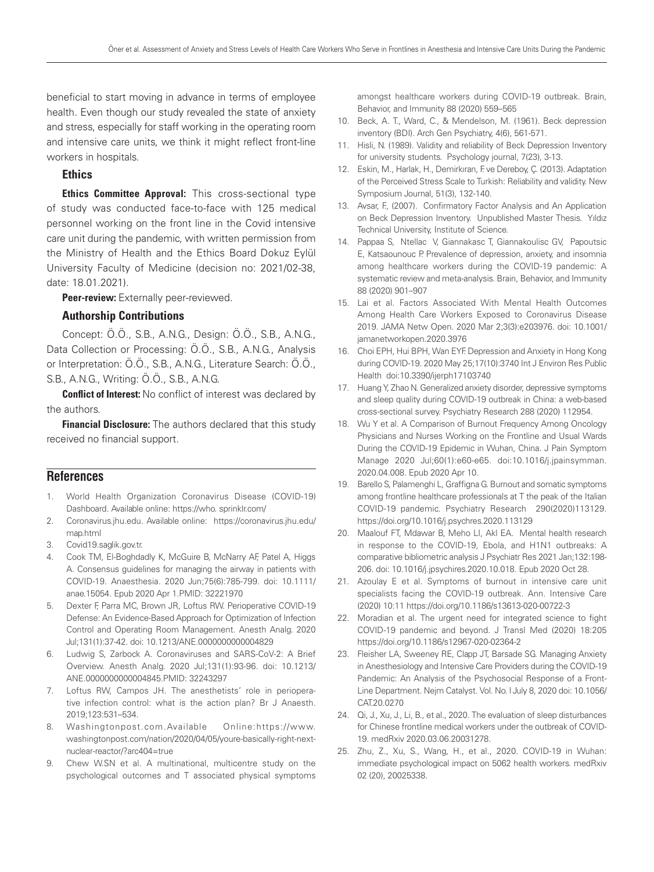beneficial to start moving in advance in terms of employee health. Even though our study revealed the state of anxiety and stress, especially for staff working in the operating room and intensive care units, we think it might reflect front-line workers in hospitals.

## Ethics

Ethics Committee Approval: This cross-sectional type of study was conducted face-to-face with 125 medical personnel working on the front line in the Covid intensive care unit during the pandemic, with written permission from the Ministry of Health and the Ethics Board Dokuz Eylül University Faculty of Medicine (decision no: 2021/02-38, date: 18.01.2021).

Peer-review: Externally peer-reviewed.

#### Authorship Contributions

Concept: Ö.Ö., S.B., A.N.G., Design: Ö.Ö., S.B., A.N.G., Data Collection or Processing: Ö.Ö., S.B., A.N.G., Analysis or Interpretation: Ö.Ö., S.B., A.N.G., Literature Search: Ö.Ö., S.B., A.N.G., Writing: Ö.Ö., S.B., A.N.G.

**Conflict of Interest:** No conflict of interest was declared by the authors.

**Financial Disclosure:** The authors declared that this study received no financial support.

## **References**

- 1. World Health Organization Coronavirus Disease (COVID-19) Dashboard. Available online: https://who. sprinklr.com/
- 2. Coronavirus.jhu.edu. Available online: https://coronavirus.jhu.edu/ map.html
- 3. Covid19.saglik.gov.tr.
- 4. Cook TM, El-Boghdadly K, McGuire B, McNarry AF, Patel A, Higgs A. Consensus guidelines for managing the airway in patients with COVID-19. Anaesthesia. 2020 Jun;75(6):785-799. doi: 10.1111/ anae.15054. Epub 2020 Apr 1.PMID: 32221970
- 5. Dexter F, Parra MC, Brown JR, Loftus RW. Perioperative COVID-19 Defense: An Evidence-Based Approach for Optimization of Infection Control and Operating Room Management. Anesth Analg. 2020 Jul;131(1):37-42. doi: 10.1213/ANE.0000000000004829
- 6. Ludwig S, Zarbock A. Coronaviruses and SARS-CoV-2: A Brief Overview. Anesth Analg. 2020 Jul;131(1):93-96. doi: 10.1213/ ANE.0000000000004845.PMID: 32243297
- 7. Loftus RW, Campos JH. The anesthetists' role in perioperative infection control: what is the action plan? Br J Anaesth. 2019;123:531–534.
- 8. Washingtonpost.com.Available Online:https://www. washingtonpost.com/nation/2020/04/05/youre-basically-right-nextnuclear-reactor/?arc404=true
- 9. Chew W.SN et al. A multinational, multicentre study on the psychological outcomes and T associated physical symptoms

amongst healthcare workers during COVID-19 outbreak. Brain, Behavior, and Immunity 88 (2020) 559–565

- 10. Beck, A. T., Ward, C., & Mendelson, M. (1961). Beck depression inventory (BDI). Arch Gen Psychiatry, 4(6), 561-571.
- 11. Hisli, N. (1989). Validity and reliability of Beck Depression Inventory for university students. Psychology journal, 7(23), 3-13.
- 12. Eskin, M., Harlak, H., Demirkıran, F. ve Dereboy, Ç. (2013). Adaptation of the Perceived Stress Scale to Turkish: Reliability and validity. New Symposium Journal, 51(3), 132-140.
- 13. Avsar, F., (2007). Confirmatory Factor Analysis and An Application on Beck Depression Inventory. Unpublished Master Thesis. Yıldız Technical University, Institute of Science.
- 14. Pappaa S, Ntellac V, Giannakasc T, Giannakoulisc GV, Papoutsic E, Katsaounouc P. Prevalence of depression, anxiety, and insomnia among healthcare workers during the COVID-19 pandemic: A systematic review and meta-analysis. Brain, Behavior, and Immunity 88 (2020) 901–907
- 15. Lai et al. Factors Associated With Mental Health Outcomes Among Health Care Workers Exposed to Coronavirus Disease 2019. JAMA Netw Open. 2020 Mar 2;3(3):e203976. doi: 10.1001/ jamanetworkopen.2020.3976
- 16. Choi EPH, Hui BPH, Wan EYF. Depression and Anxiety in Hong Kong during COVID-19. 2020 May 25;17(10):3740 Int J Environ Res Public Health doi:10.3390/ijerph17103740
- 17. Huang Y, Zhao N. Generalized anxiety disorder, depressive symptoms and sleep quality during COVID-19 outbreak in China: a web-based cross-sectional survey. Psychiatry Research 288 (2020) 112954.
- 18. Wu Y et al. A Comparison of Burnout Frequency Among Oncology Physicians and Nurses Working on the Frontline and Usual Wards During the COVID-19 Epidemic in Wuhan, China. J Pain Symptom Manage 2020 Jul;60(1):e60-e65. doi:10.1016/j.jpainsymman. 2020.04.008. Epub 2020 Apr 10.
- 19. Barello S, Palamenghi L, Graffigna G. Burnout and somatic symptoms among frontline healthcare professionals at T the peak of the Italian COVID-19 pandemic. Psychiatry Research 290(2020)113129. https://doi.org/10.1016/j.psychres.2020.113129
- 20. Maalouf FT, Mdawar B, Meho LI, Akl EA. Mental health research in response to the COVID-19, Ebola, and H1N1 outbreaks: A comparative bibliometric analysis J Psychiatr Res 2021 Jan;132:198- 206. doi: 10.1016/j.jpsychires.2020.10.018. Epub 2020 Oct 28.
- 21. Azoulay E et al. Symptoms of burnout in intensive care unit specialists facing the COVID-19 outbreak. Ann. Intensive Care (2020) 10:11 https://doi.org/10.1186/s13613-020-00722-3
- 22. Moradian et al. The urgent need for integrated science to fight COVID-19 pandemic and beyond. J Transl Med (2020) 18:205 https://doi.org/10.1186/s12967-020-02364-2
- 23. Fleisher LA, Sweeney RE, Clapp JT, Barsade SG. Managing Anxiety in Anesthesiology and Intensive Care Providers during the COVID-19 Pandemic: An Analysis of the Psychosocial Response of a Front-Line Department. Nejm Catalyst. Vol. No. | July 8, 2020 doi: 10.1056/ CAT.20.0270
- 24. Qi, J., Xu, J., Li, B., et al., 2020. The evaluation of sleep disturbances for Chinese frontline medical workers under the outbreak of COVID-19. medRxiv 2020.03.06.20031278.
- 25. Zhu, Z., Xu, S., Wang, H., et al., 2020. COVID-19 in Wuhan: immediate psychological impact on 5062 health workers. medRxiv 02 (20), 20025338.